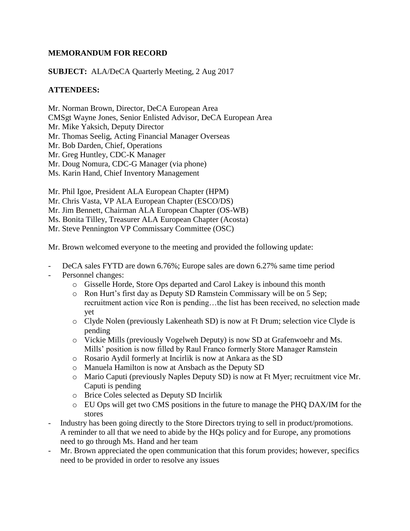# **MEMORANDUM FOR RECORD**

**SUBJECT:** ALA/DeCA Quarterly Meeting, 2 Aug 2017

## **ATTENDEES:**

Mr. Norman Brown, Director, DeCA European Area CMSgt Wayne Jones, Senior Enlisted Advisor, DeCA European Area Mr. Mike Yaksich, Deputy Director Mr. Thomas Seelig, Acting Financial Manager Overseas Mr. Bob Darden, Chief, Operations Mr. Greg Huntley, CDC-K Manager Mr. Doug Nomura, CDC-G Manager (via phone) Ms. Karin Hand, Chief Inventory Management

Mr. Phil Igoe, President ALA European Chapter (HPM) Mr. Chris Vasta, VP ALA European Chapter (ESCO/DS) Mr. Jim Bennett, Chairman ALA European Chapter (OS-WB) Ms. Bonita Tilley, Treasurer ALA European Chapter (Acosta) Mr. Steve Pennington VP Commissary Committee (OSC)

Mr. Brown welcomed everyone to the meeting and provided the following update:

- DeCA sales FYTD are down 6.76%; Europe sales are down 6.27% same time period
- Personnel changes:
	- o Gisselle Horde, Store Ops departed and Carol Lakey is inbound this month
	- o Ron Hurt's first day as Deputy SD Ramstein Commissary will be on 5 Sep; recruitment action vice Ron is pending…the list has been received, no selection made yet
	- o Clyde Nolen (previously Lakenheath SD) is now at Ft Drum; selection vice Clyde is pending
	- o Vickie Mills (previously Vogelweh Deputy) is now SD at Grafenwoehr and Ms. Mills' position is now filled by Raul Franco formerly Store Manager Ramstein
	- o Rosario Aydil formerly at Incirlik is now at Ankara as the SD
	- o Manuela Hamilton is now at Ansbach as the Deputy SD
	- o Mario Caputi (previously Naples Deputy SD) is now at Ft Myer; recruitment vice Mr. Caputi is pending
	- o Brice Coles selected as Deputy SD Incirlik
	- o EU Ops will get two CMS positions in the future to manage the PHQ DAX/IM for the stores
- Industry has been going directly to the Store Directors trying to sell in product/promotions. A reminder to all that we need to abide by the HQs policy and for Europe, any promotions need to go through Ms. Hand and her team
- Mr. Brown appreciated the open communication that this forum provides; however, specifics need to be provided in order to resolve any issues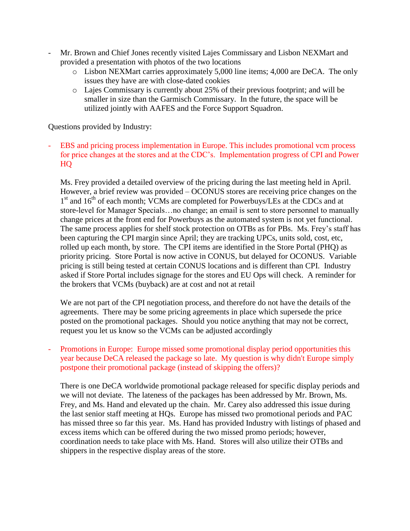- Mr. Brown and Chief Jones recently visited Lajes Commissary and Lisbon NEXMart and provided a presentation with photos of the two locations
	- o Lisbon NEXMart carries approximately 5,000 line items; 4,000 are DeCA. The only issues they have are with close-dated cookies
	- o Lajes Commissary is currently about 25% of their previous footprint; and will be smaller in size than the Garmisch Commissary. In the future, the space will be utilized jointly with AAFES and the Force Support Squadron.

Questions provided by Industry:

EBS and pricing process implementation in Europe. This includes promotional vcm process for price changes at the stores and at the CDC's. Implementation progress of CPI and Power HQ

Ms. Frey provided a detailed overview of the pricing during the last meeting held in April. However, a brief review was provided – OCONUS stores are receiving price changes on the 1<sup>st</sup> and 16<sup>th</sup> of each month; VCMs are completed for Powerbuys/LEs at the CDCs and at store-level for Manager Specials…no change; an email is sent to store personnel to manually change prices at the front end for Powerbuys as the automated system is not yet functional. The same process applies for shelf stock protection on OTBs as for PBs. Ms. Frey's staff has been capturing the CPI margin since April; they are tracking UPCs, units sold, cost, etc, rolled up each month, by store. The CPI items are identified in the Store Portal (PHQ) as priority pricing. Store Portal is now active in CONUS, but delayed for OCONUS. Variable pricing is still being tested at certain CONUS locations and is different than CPI. Industry asked if Store Portal includes signage for the stores and EU Ops will check. A reminder for the brokers that VCMs (buyback) are at cost and not at retail

We are not part of the CPI negotiation process, and therefore do not have the details of the agreements. There may be some pricing agreements in place which supersede the price posted on the promotional packages. Should you notice anything that may not be correct, request you let us know so the VCMs can be adjusted accordingly

Promotions in Europe: Europe missed some promotional display period opportunities this year because DeCA released the package so late. My question is why didn't Europe simply postpone their promotional package (instead of skipping the offers)?

There is one DeCA worldwide promotional package released for specific display periods and we will not deviate. The lateness of the packages has been addressed by Mr. Brown, Ms. Frey, and Ms. Hand and elevated up the chain. Mr. Carey also addressed this issue during the last senior staff meeting at HQs. Europe has missed two promotional periods and PAC has missed three so far this year. Ms. Hand has provided Industry with listings of phased and excess items which can be offered during the two missed promo periods; however, coordination needs to take place with Ms. Hand. Stores will also utilize their OTBs and shippers in the respective display areas of the store.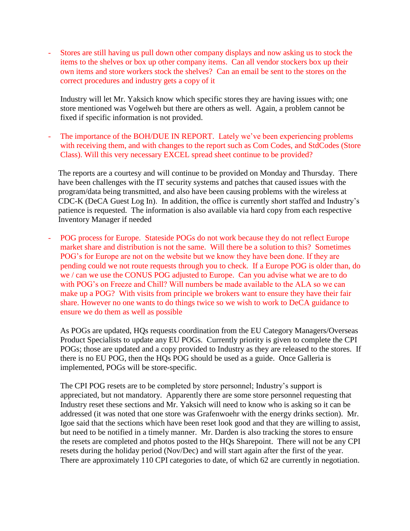- Stores are still having us pull down other company displays and now asking us to stock the items to the shelves or box up other company items. Can all vendor stockers box up their own items and store workers stock the shelves? Can an email be sent to the stores on the correct procedures and industry gets a copy of it

Industry will let Mr. Yaksich know which specific stores they are having issues with; one store mentioned was Vogelweh but there are others as well. Again, a problem cannot be fixed if specific information is not provided.

The importance of the BOH/DUE IN REPORT. Lately we've been experiencing problems with receiving them, and with changes to the report such as Com Codes, and StdCodes (Store Class). Will this very necessary EXCEL spread sheet continue to be provided?

The reports are a courtesy and will continue to be provided on Monday and Thursday. There have been challenges with the IT security systems and patches that caused issues with the program/data being transmitted, and also have been causing problems with the wireless at CDC-K (DeCA Guest Log In). In addition, the office is currently short staffed and Industry's patience is requested. The information is also available via hard copy from each respective Inventory Manager if needed

- POG process for Europe. Stateside POGs do not work because they do not reflect Europe market share and distribution is not the same. Will there be a solution to this? Sometimes POG's for Europe are not on the website but we know they have been done. If they are pending could we not route requests through you to check. If a Europe POG is older than, do we / can we use the CONUS POG adjusted to Europe. Can you advise what we are to do with POG's on Freeze and Chill? Will numbers be made available to the ALA so we can make up a POG? With visits from principle we brokers want to ensure they have their fair share. However no one wants to do things twice so we wish to work to DeCA guidance to ensure we do them as well as possible

As POGs are updated, HQs requests coordination from the EU Category Managers/Overseas Product Specialists to update any EU POGs. Currently priority is given to complete the CPI POGs; those are updated and a copy provided to Industry as they are released to the stores. If there is no EU POG, then the HQs POG should be used as a guide. Once Galleria is implemented, POGs will be store-specific.

The CPI POG resets are to be completed by store personnel; Industry's support is appreciated, but not mandatory. Apparently there are some store personnel requesting that Industry reset these sections and Mr. Yaksich will need to know who is asking so it can be addressed (it was noted that one store was Grafenwoehr with the energy drinks section). Mr. Igoe said that the sections which have been reset look good and that they are willing to assist, but need to be notified in a timely manner. Mr. Darden is also tracking the stores to ensure the resets are completed and photos posted to the HQs Sharepoint. There will not be any CPI resets during the holiday period (Nov/Dec) and will start again after the first of the year. There are approximately 110 CPI categories to date, of which 62 are currently in negotiation.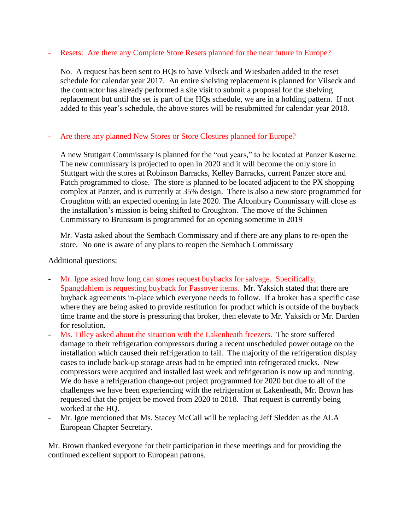#### - Resets: Are there any Complete Store Resets planned for the near future in Europe?

No. A request has been sent to HQs to have Vilseck and Wiesbaden added to the reset schedule for calendar year 2017. An entire shelving replacement is planned for Vilseck and the contractor has already performed a site visit to submit a proposal for the shelving replacement but until the set is part of the HQs schedule, we are in a holding pattern. If not added to this year's schedule, the above stores will be resubmitted for calendar year 2018.

## Are there any planned New Stores or Store Closures planned for Europe?

A new Stuttgart Commissary is planned for the "out years," to be located at Panzer Kaserne. The new commissary is projected to open in 2020 and it will become the only store in Stuttgart with the stores at Robinson Barracks, Kelley Barracks, current Panzer store and Patch programmed to close. The store is planned to be located adjacent to the PX shopping complex at Panzer, and is currently at 35% design. There is also a new store programmed for Croughton with an expected opening in late 2020. The Alconbury Commissary will close as the installation's mission is being shifted to Croughton. The move of the Schinnen Commissary to Brunssum is programmed for an opening sometime in 2019

Mr. Vasta asked about the Sembach Commissary and if there are any plans to re-open the store. No one is aware of any plans to reopen the Sembach Commissary

### Additional questions:

- Mr. Igoe asked how long can stores request buybacks for salvage. Specifically, Spangdahlem is requesting buyback for Passover items. Mr. Yaksich stated that there are buyback agreements in-place which everyone needs to follow. If a broker has a specific case where they are being asked to provide restitution for product which is outside of the buyback time frame and the store is pressuring that broker, then elevate to Mr. Yaksich or Mr. Darden for resolution.
- Ms. Tilley asked about the situation with the Lakenheath freezers. The store suffered damage to their refrigeration compressors during a recent unscheduled power outage on the installation which caused their refrigeration to fail. The majority of the refrigeration display cases to include back-up storage areas had to be emptied into refrigerated trucks. New compressors were acquired and installed last week and refrigeration is now up and running. We do have a refrigeration change-out project programmed for 2020 but due to all of the challenges we have been experiencing with the refrigeration at Lakenheath, Mr. Brown has requested that the project be moved from 2020 to 2018. That request is currently being worked at the HQ.
- Mr. Igoe mentioned that Ms. Stacey McCall will be replacing Jeff Sledden as the ALA European Chapter Secretary.

Mr. Brown thanked everyone for their participation in these meetings and for providing the continued excellent support to European patrons.